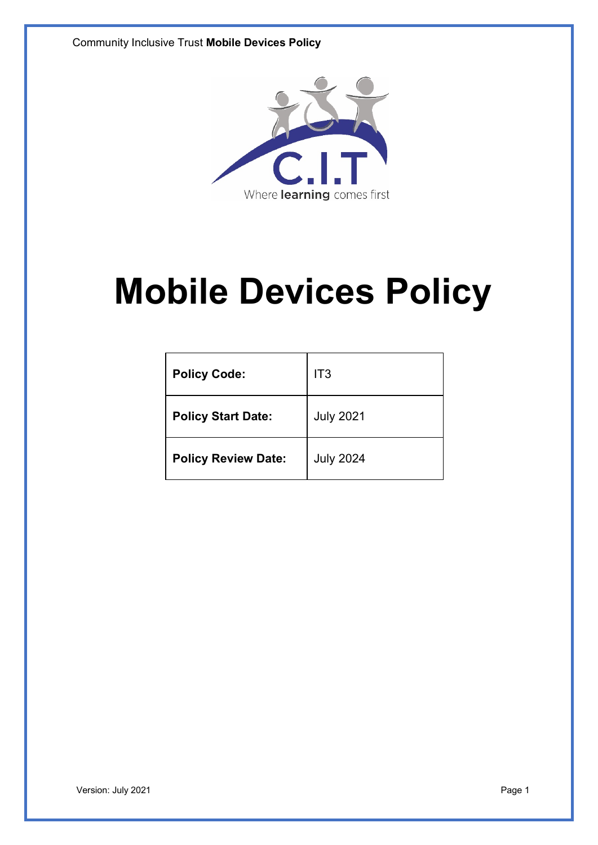

# **Mobile Devices Policy**

| <b>Policy Code:</b>        | IT <sub>3</sub>  |
|----------------------------|------------------|
| <b>Policy Start Date:</b>  | <b>July 2021</b> |
| <b>Policy Review Date:</b> | <b>July 2024</b> |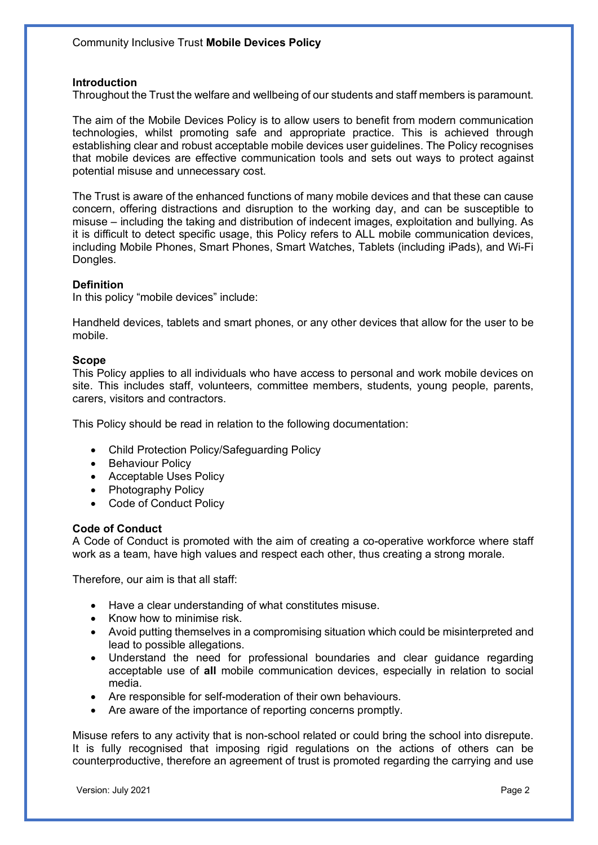### **Introduction**

Throughout the Trust the welfare and wellbeing of our students and staff members is paramount.

The aim of the Mobile Devices Policy is to allow users to benefit from modern communication technologies, whilst promoting safe and appropriate practice. This is achieved through establishing clear and robust acceptable mobile devices user guidelines. The Policy recognises that mobile devices are effective communication tools and sets out ways to protect against potential misuse and unnecessary cost.

The Trust is aware of the enhanced functions of many mobile devices and that these can cause concern, offering distractions and disruption to the working day, and can be susceptible to misuse – including the taking and distribution of indecent images, exploitation and bullying. As it is difficult to detect specific usage, this Policy refers to ALL mobile communication devices, including Mobile Phones, Smart Phones, Smart Watches, Tablets (including iPads), and Wi-Fi Dongles.

## **Definition**

In this policy "mobile devices" include:

Handheld devices, tablets and smart phones, or any other devices that allow for the user to be mobile.

## **Scope**

This Policy applies to all individuals who have access to personal and work mobile devices on site. This includes staff, volunteers, committee members, students, young people, parents, carers, visitors and contractors.

This Policy should be read in relation to the following documentation:

- Child Protection Policy/Safeguarding Policy
- Behaviour Policy
- Acceptable Uses Policy
- Photography Policy
- Code of Conduct Policy

### **Code of Conduct**

A Code of Conduct is promoted with the aim of creating a co-operative workforce where staff work as a team, have high values and respect each other, thus creating a strong morale.

Therefore, our aim is that all staff:

- Have a clear understanding of what constitutes misuse.
- Know how to minimise risk.
- Avoid putting themselves in a compromising situation which could be misinterpreted and lead to possible allegations.
- Understand the need for professional boundaries and clear guidance regarding acceptable use of **all** mobile communication devices, especially in relation to social media.
- Are responsible for self-moderation of their own behaviours.
- Are aware of the importance of reporting concerns promptly.

Misuse refers to any activity that is non-school related or could bring the school into disrepute. It is fully recognised that imposing rigid regulations on the actions of others can be counterproductive, therefore an agreement of trust is promoted regarding the carrying and use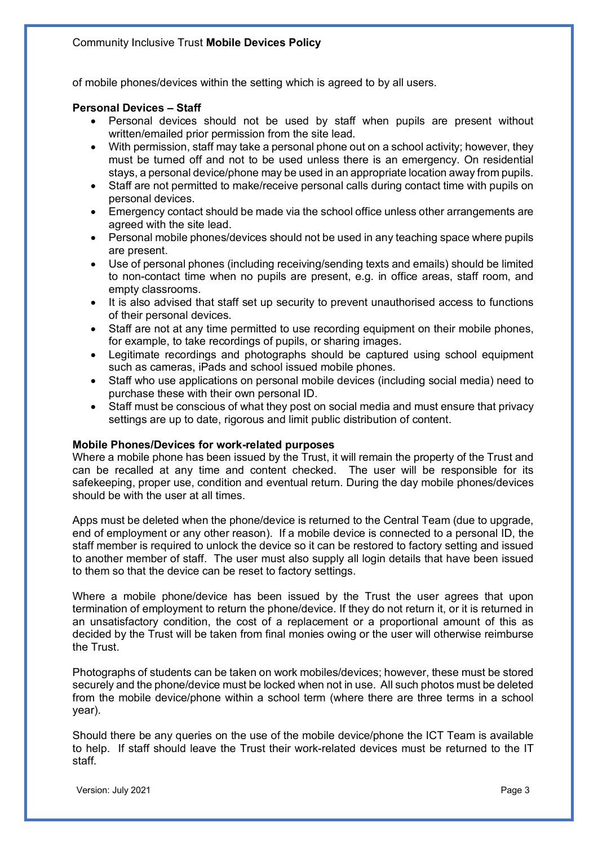of mobile phones/devices within the setting which is agreed to by all users.

## **Personal Devices – Staff**

- Personal devices should not be used by staff when pupils are present without written/emailed prior permission from the site lead.
- With permission, staff may take a personal phone out on a school activity; however, they must be turned off and not to be used unless there is an emergency. On residential stays, a personal device/phone may be used in an appropriate location away from pupils.
- Staff are not permitted to make/receive personal calls during contact time with pupils on personal devices.
- Emergency contact should be made via the school office unless other arrangements are agreed with the site lead.
- Personal mobile phones/devices should not be used in any teaching space where pupils are present.
- Use of personal phones (including receiving/sending texts and emails) should be limited to non-contact time when no pupils are present, e.g. in office areas, staff room, and empty classrooms.
- It is also advised that staff set up security to prevent unauthorised access to functions of their personal devices.
- Staff are not at any time permitted to use recording equipment on their mobile phones, for example, to take recordings of pupils, or sharing images.
- Legitimate recordings and photographs should be captured using school equipment such as cameras, iPads and school issued mobile phones.
- Staff who use applications on personal mobile devices (including social media) need to purchase these with their own personal ID.
- Staff must be conscious of what they post on social media and must ensure that privacy settings are up to date, rigorous and limit public distribution of content.

### **Mobile Phones/Devices for work-related purposes**

Where a mobile phone has been issued by the Trust, it will remain the property of the Trust and can be recalled at any time and content checked. The user will be responsible for its safekeeping, proper use, condition and eventual return. During the day mobile phones/devices should be with the user at all times.

Apps must be deleted when the phone/device is returned to the Central Team (due to upgrade, end of employment or any other reason). If a mobile device is connected to a personal ID, the staff member is required to unlock the device so it can be restored to factory setting and issued to another member of staff. The user must also supply all login details that have been issued to them so that the device can be reset to factory settings.

Where a mobile phone/device has been issued by the Trust the user agrees that upon termination of employment to return the phone/device. If they do not return it, or it is returned in an unsatisfactory condition, the cost of a replacement or a proportional amount of this as decided by the Trust will be taken from final monies owing or the user will otherwise reimburse the Trust.

Photographs of students can be taken on work mobiles/devices; however, these must be stored securely and the phone/device must be locked when not in use. All such photos must be deleted from the mobile device/phone within a school term (where there are three terms in a school year).

Should there be any queries on the use of the mobile device/phone the ICT Team is available to help. If staff should leave the Trust their work-related devices must be returned to the IT staff.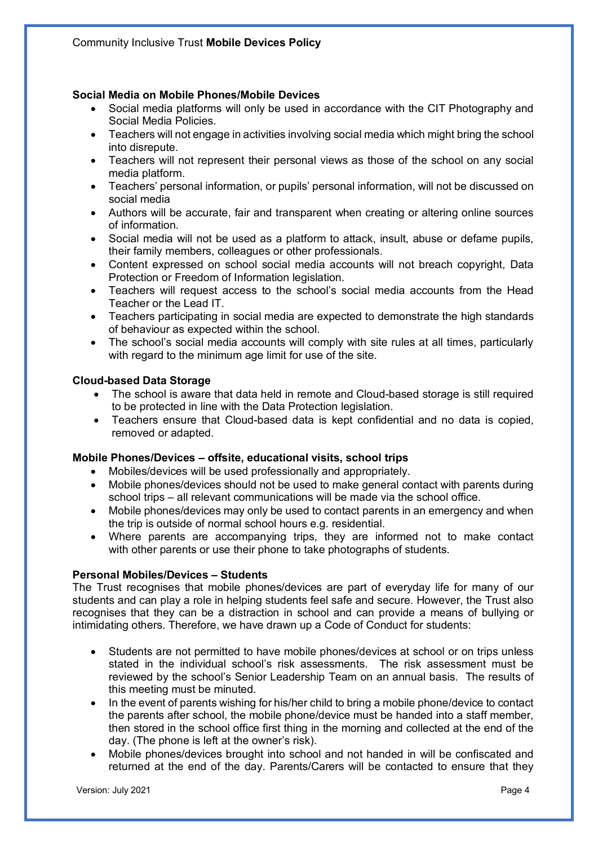# **Social Media on Mobile Phones/Mobile Devices**

- Social media platforms will only be used in accordance with the CIT Photography and Social Media Policies.
- Teachers will not engage in activities involving social media which might bring the school into disrepute.
- Teachers will not represent their personal views as those of the school on any social media platform.
- Teachers' personal information, or pupils' personal information, will not be discussed on social media
- Authors will be accurate, fair and transparent when creating or altering online sources of information.
- Social media will not be used as a platform to attack, insult, abuse or defame pupils, their family members, colleagues or other professionals.
- Content expressed on school social media accounts will not breach copyright, Data Protection or Freedom of Information legislation.
- Teachers will request access to the school's social media accounts from the Head Teacher or the Lead IT.
- Teachers participating in social media are expected to demonstrate the high standards of behaviour as expected within the school.
- The school's social media accounts will comply with site rules at all times, particularly with regard to the minimum age limit for use of the site.

## **Cloud-based Data Storage**

- The school is aware that data held in remote and Cloud-based storage is still required to be protected in line with the Data Protection legislation.
- Teachers ensure that Cloud-based data is kept confidential and no data is copied, removed or adapted.

### **Mobile Phones/Devices – offsite, educational visits, school trips**

- Mobiles/devices will be used professionally and appropriately.
- Mobile phones/devices should not be used to make general contact with parents during school trips – all relevant communications will be made via the school office.
- Mobile phones/devices may only be used to contact parents in an emergency and when the trip is outside of normal school hours e.g. residential.
- Where parents are accompanying trips, they are informed not to make contact with other parents or use their phone to take photographs of students.

### **Personal Mobiles/Devices – Students**

The Trust recognises that mobile phones/devices are part of everyday life for many of our students and can play a role in helping students feel safe and secure. However, the Trust also recognises that they can be a distraction in school and can provide a means of bullying or intimidating others. Therefore, we have drawn up a Code of Conduct for students:

- Students are not permitted to have mobile phones/devices at school or on trips unless stated in the individual school's risk assessments. The risk assessment must be reviewed by the school's Senior Leadership Team on an annual basis. The results of this meeting must be minuted.
- In the event of parents wishing for his/her child to bring a mobile phone/device to contact the parents after school, the mobile phone/device must be handed into a staff member, then stored in the school office first thing in the morning and collected at the end of the day. (The phone is left at the owner's risk).
- Mobile phones/devices brought into school and not handed in will be confiscated and returned at the end of the day. Parents/Carers will be contacted to ensure that they